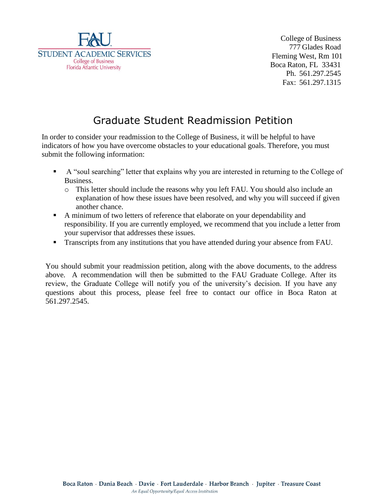

College of Business 777 Glades Road Fleming West, Rm 101 Boca Raton, FL 33431 Ph. 561.297.2545 Fax: 561.297.1315

## Graduate Student Readmission Petition

In order to consider your readmission to the College of Business, it will be helpful to have indicators of how you have overcome obstacles to your educational goals. Therefore, you must submit the following information:

- A "soul searching" letter that explains why you are interested in returning to the College of Business.
	- o This letter should include the reasons why you left FAU. You should also include an explanation of how these issues have been resolved, and why you will succeed if given another chance.
- A minimum of two letters of reference that elaborate on your dependability and responsibility. If you are currently employed, we recommend that you include a letter from your supervisor that addresses these issues.
- **Transcripts from any institutions that you have attended during your absence from FAU.**

You should submit your readmission petition, along with the above documents, to the address above. A recommendation will then be submitted to the FAU Graduate College. After its review, the Graduate College will notify you of the university's decision. If you have any questions about this process, please feel free to contact our office in Boca Raton at 561.297.2545.